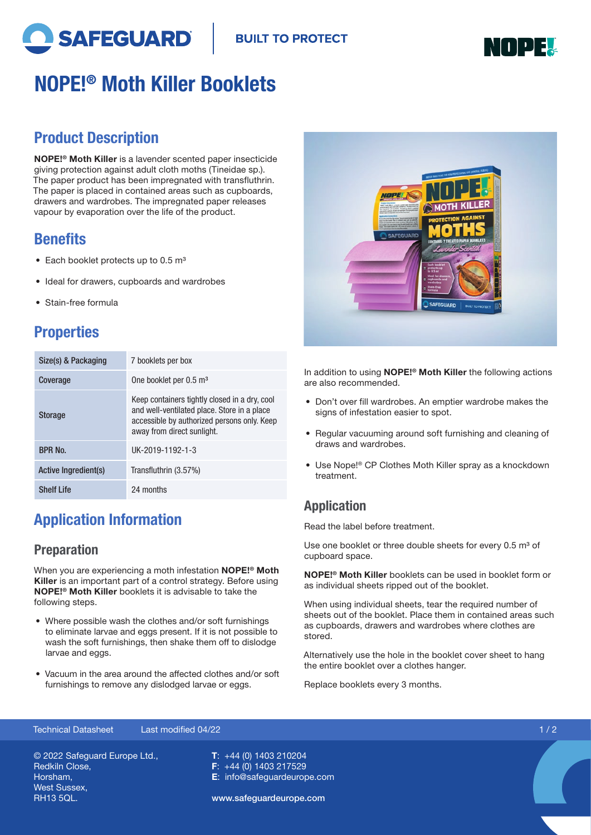



# NOPE!® Moth Killer Booklets

### Product Description

NOPE!® Moth Killer is a lavender scented paper insecticide giving protection against adult cloth moths (Tineidae sp.). The paper product has been impregnated with transfluthrin. The paper is placed in contained areas such as cupboards, drawers and wardrobes. The impregnated paper releases vapour by evaporation over the life of the product.

#### **Benefits**

- Each booklet protects up to  $0.5 \text{ m}^3$
- Ideal for drawers, cupboards and wardrobes
- Stain-free formula

## **Properties**

| Size(s) & Packaging  | 7 booklets per box                                                                                                                                                        |
|----------------------|---------------------------------------------------------------------------------------------------------------------------------------------------------------------------|
| Coverage             | One booklet per 0.5 m <sup>3</sup>                                                                                                                                        |
| <b>Storage</b>       | Keep containers tightly closed in a dry, cool<br>and well-ventilated place. Store in a place<br>accessible by authorized persons only. Keep<br>away from direct sunlight. |
| BPR No.              | UK-2019-1192-1-3                                                                                                                                                          |
| Active Ingredient(s) | Transfluthrin (3.57%)                                                                                                                                                     |
| <b>Shelf Life</b>    | 24 months                                                                                                                                                                 |

# Application Information

#### Preparation

When you are experiencing a moth infestation NOPE!<sup>®</sup> Moth Killer is an important part of a control strategy. Before using NOPE!® Moth Killer booklets it is advisable to take the following steps.

- Where possible wash the clothes and/or soft furnishings to eliminate larvae and eggs present. If it is not possible to wash the soft furnishings, then shake them off to dislodge larvae and eggs.
- Vacuum in the area around the affected clothes and/or soft furnishings to remove any dislodged larvae or eggs.



In addition to using **NOPE!<sup>®</sup> Moth Killer** the following actions are also recommended.

- Don't over fill wardrobes. An emptier wardrobe makes the signs of infestation easier to spot.
- Regular vacuuming around soft furnishing and cleaning of draws and wardrobes.
- Use Nope!® CP Clothes Moth Killer spray as a knockdown treatment.

#### Application

Read the label before treatment.

Use one booklet or three double sheets for every 0.5 m<sup>3</sup> of cupboard space.

NOPE!® Moth Killer booklets can be used in booklet form or as individual sheets ripped out of the booklet.

When using individual sheets, tear the required number of sheets out of the booklet. Place them in contained areas such as cupboards, drawers and wardrobes where clothes are stored.

Alternatively use the hole in the booklet cover sheet to hang the entire booklet over a clothes hanger.

Replace booklets every 3 months.

#### Technical Datasheet Last modified 04/22 1 / 2

© 2022 Safeguard Europe Ltd., Redkiln Close, Horsham, West Sussex, RH13 5QL.

T: +44 (0) 1403 210204 F: +44 (0) 1403 217529 E: info@safeguardeurope.com

www.safeguardeurope.com